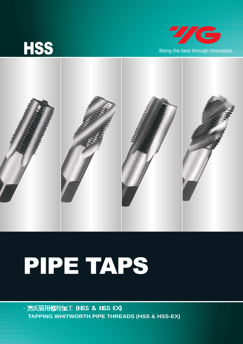





## PIPE TAPS

- 惠氏管用螺纹加工 (HSS & HSS-EX) **TAPPING WHITWORTH PIPE THREADS (HSS & HSS-EX)**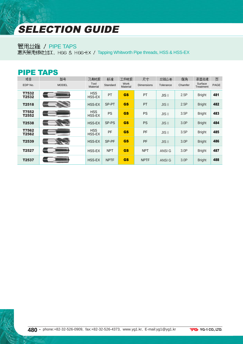## SELECTION GUIDE

## 管用丝锥 / PIPE TAPS

**恵氏管用螺纹加工, HSS & HSS-EX / Tapping Whitworth Pipe threads, HSS & HSS-EX** 

| <b>PIPE TAPS</b> |              |                      |             |                  |                   |                                  |                  |                      |      |
|------------------|--------------|----------------------|-------------|------------------|-------------------|----------------------------------|------------------|----------------------|------|
| 项目               | 型묵           | 刀具材质                 | 标准          | 工件材质             | 尺寸                | 丝锥公差                             | 倒角               | 表面处理                 | 页    |
| EDP No.          | <b>MODEL</b> | Tool<br>Material     | Standard    | Work<br>Material | <b>Dimensions</b> | Tolerance                        | Chamfer          | Surface<br>Treatment | PAGE |
| T7532<br>T2532   |              | <b>HSS</b><br>HSS-EX | PT          | <b>GS</b>        | PT                | $JIS$ $  $                       | 2.5P             | <b>Bright</b>        | 481  |
| T2518            |              | HSS-EX               | SP-PT       | <b>GS</b>        | PT                | $JIS$ <sub><math>  </math></sub> | 2.5P             | <b>Bright</b>        | 482  |
| T7552<br>T2552   |              | <b>HSS</b><br>HSS-EX | <b>PS</b>   | <b>GS</b>        | <b>PS</b>         | $JIS$ <sub><math>  </math></sub> | 3.5P             | <b>Bright</b>        | 483  |
| T2538            |              | HSS-EX               | SP-PS       | <b>GS</b>        | <b>PS</b>         | $JIS$ <sub><math>  </math></sub> | 3.0P             | <b>Bright</b>        | 484  |
| T7562<br>T2562   |              | <b>HSS</b><br>HSS-EX | PF          | <b>GS</b>        | PF                | $JIS$ <sub><math>  </math></sub> | 3.5P             | <b>Bright</b>        | 485  |
| T2539            |              | HSS-EX               | SP-PF       | <b>GS</b>        | <b>PF</b>         | $JIS$ <sub><math>  </math></sub> | 3.0 <sup>P</sup> | <b>Bright</b>        | 486  |
| T2527            |              | HSS-EX               | <b>NPT</b>  | <b>GS</b>        | <b>NPT</b>        | ANSI G                           | 3.0 <sup>P</sup> | <b>Bright</b>        | 487  |
| T2537            |              | HSS-EX               | <b>NPTF</b> | <b>GS</b>        | <b>NPTF</b>       | ANSI G                           | 3.0P             | <b>Bright</b>        | 488  |

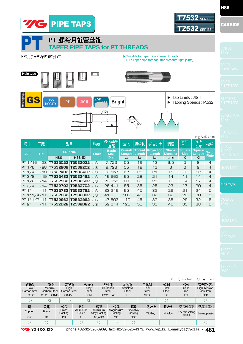

|                            |                               |                         |                       |                                  |                          |                                  |                      | $\circledcirc$       | :优(Excellent)            | ○: 良(Good)                       |
|----------------------------|-------------------------------|-------------------------|-----------------------|----------------------------------|--------------------------|----------------------------------|----------------------|----------------------|--------------------------|----------------------------------|
| 低碳钢                        | 中碳钢                           | 高碳钢                     | 合金钢                   |                                  | 硬化钢                      | 不锈钢                              | 工具钢                  | 铸钢                   | 铸铁                       | 高强度铸铁                            |
| Low<br><b>Carbon Steel</b> | Meduim<br><b>Carbon Steel</b> | High<br>Carbon Steel    | Allov<br><b>Steel</b> |                                  | Hardened<br><b>Steel</b> | <b>Stainless</b><br><b>Steel</b> | Tool<br><b>Steel</b> | Cast<br><b>Steel</b> | Cast<br>Iron             | <b>High Tension</b><br>Cast Iron |
| $\sim$ C <sub>0.25</sub>   | $C0.25$ ~ $C0.45$             | $CO.45 -$               | <b>SCM</b>            |                                  | $HRc25 \sim 45$          | <b>SUS</b>                       | <b>SKD</b>           | <b>SC</b>            | <b>FC</b>                | <b>FCD</b>                       |
|                            | $\circledcirc$                |                         | $\circledcirc$        |                                  |                          |                                  |                      |                      |                          | О                                |
| 铜                          | 黄铜                            | 铸铜                      | 铝轧                    | 铸铝                               | 铸镁                       | 铸锌                               | 钛合金                  | 镍合金                  | 热固性塑料                    | 热塑性塑料                            |
| Copper                     | <b>Brass</b>                  | <b>Brass</b><br>Casting | Aluminum<br>Rolled    | Aluminum<br><b>Alloy Casting</b> | Magnesium<br>Casting     | <b>Zinc Alloy</b><br>Casting     | <b>Ti Alloy</b>      | Ni Alloy             | Thermosetting<br>plastic | thermoplastic                    |
| Cu                         | <b>Bs</b>                     | PB                      | <b>AL</b>             | AC, ADC                          | <b>MC</b>                | <b>ZDC</b>                       |                      |                      |                          |                                  |
|                            |                               |                         |                       |                                  | С                        |                                  |                      |                      |                          | C                                |

**7/G** YG-1 CO., LTD.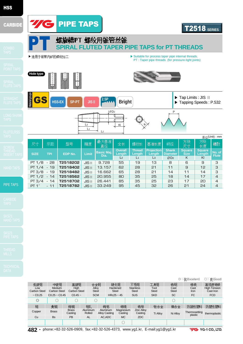

 $\overline{\phantom{a}}$ 

9.728 13.157 16.662 20.955 26.441 33.249

**Dia.** 

最大基准

直径

**Overall Length**  $L<sub>2</sub>$ 

全长

 $\sqrt{ }$  $KI$ 

 $\overline{1}$ L3

精度

JISⅡ JISⅡ JISⅡ JISⅡ JISⅡ JISⅡ

**T2518202 T2518402 T2518482 T2518562 T2518702 T2518782**

**SIZE TPI EDP No. Limit Basic Maj.**

型号

PT 1/8 - 28 PT 1/4 - 19 PT 3/8 - 19 PT 1/2 - 14 PT 3/4 - 14 PT 1″ - 11

牙距

尺寸

PIPE TAPS

|                            |                               |                         |                    |                                  |                          |                                  |                      |                      | ◎:优(Excellent)           | ○: 良(Good)                       |
|----------------------------|-------------------------------|-------------------------|--------------------|----------------------------------|--------------------------|----------------------------------|----------------------|----------------------|--------------------------|----------------------------------|
| 低碳钢                        | 中碳钢                           | 高碳钢                     | 合金钢                |                                  | 硬化钢                      | 不锈钢                              | 工具钢                  | 铸钢                   | 铸铁                       | 高强度铸铁                            |
| Low<br><b>Carbon Steel</b> | Meduim<br><b>Carbon Steel</b> | High<br>Carbon Steel    | Alloy<br>Steel     |                                  | Hardened<br><b>Steel</b> | <b>Stainless</b><br><b>Steel</b> | Tool<br><b>Steel</b> | Cast<br><b>Steel</b> | Cast<br>Iron             | <b>High Tension</b><br>Cast Iron |
| $\sim$ C <sub>0.25</sub>   | $C0.25 \sim C0.45$            | $C0.45$ ~               | <b>SCM</b>         |                                  | $HRc25 - 45$             | <b>SUS</b>                       | <b>SKD</b>           | <b>SC</b>            | <b>FC</b>                | <b>FCD</b>                       |
| $\circledcirc$             |                               |                         | 0                  |                                  |                          |                                  |                      | О                    |                          |                                  |
| 铜                          | 黄铜                            | 铸铜                      | 铝轧                 | 铸铝                               | 锑镁                       | 铸锌                               | 钛合金                  | 镍合金                  | 热固性塑料                    | 热塑性塑料                            |
| Copper                     | <b>Brass</b>                  | <b>Brass</b><br>Casting | Aluminum<br>Rolled | Aluminum<br><b>Alloy Casting</b> | Magnesium<br>Casting     | <b>Zinc Alloy</b><br>Casting     | <b>Ti Allov</b>      | Ni Alloy             | Thermosetting<br>plastic | thermoplastic                    |
| Cu                         | <b>Bs</b>                     | <b>PB</b>               | <b>AL</b>          | AC.ADC                           | <b>MC</b>                | ZDC                              |                      |                      |                          |                                  |
|                            |                               |                         |                    |                                  |                          |                                  |                      |                      |                          |                                  |

 $\overline{\tau}$ 

**Thread Length**  $\overline{L_1}$ 

螺纹长

**Projection Length** L3

基准长度

**Shank** amet **Ø**D2

柄径

**Square Size** K

方块<br>尺寸

**Square Length** Kl

放

ー<br>长度

**No. of Flute**

槽数

 $\frac{1}{2}$ (Unit) : mm

**482 •** phone:+82-32-526-0909, fax:+82-32-526-4373, www.yg1.kr, E-mail:yg1@yg1.kr

**VG** YG-1 CO., LTD.

T2518 **SERIES**

▶ Tap Limits : JIS **Ⅱ** ▶ Tapping Speeds : P.532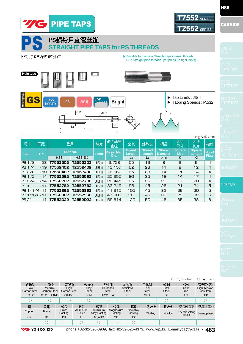

|                                   |                                      |                             |                       |                                  |                                 |                                         |                             |                            | ◎:优(Excellent)           | ○: 良(Good)                                |
|-----------------------------------|--------------------------------------|-----------------------------|-----------------------|----------------------------------|---------------------------------|-----------------------------------------|-----------------------------|----------------------------|--------------------------|-------------------------------------------|
| 低碳钢<br>Low<br><b>Carbon Steel</b> | 中碳钢<br>Meduim<br><b>Carbon Steel</b> | 高碳钢<br>High<br>Carbon Steel | 合金钢<br>Alloy<br>Steel |                                  | 硬化钢<br>Hardened<br><b>Steel</b> | 不锈钢<br><b>Stainless</b><br><b>Steel</b> | 工具钢<br>Tool<br><b>Steel</b> | 铸钢<br>Cast<br><b>Steel</b> | 铸铁<br>Cast<br>Iron       | 高强度铸铁<br><b>High Tension</b><br>Cast Iron |
| $\sim$ C <sub>0.25</sub>          | $CO.25 - CO.45$                      | $CO.45 -$                   | <b>SCM</b>            |                                  | $HRc25 - 45$                    | <b>SUS</b>                              | <b>SKD</b>                  | <b>SC</b>                  | <b>FC</b>                | <b>FCD</b>                                |
|                                   |                                      |                             |                       |                                  |                                 |                                         |                             |                            | C                        |                                           |
| 铜                                 | 黄铜                                   | 铸铜                          | 铝轧                    | 铸铝                               | 铸镁                              | 铸锌                                      | 钛合金                         | 镍合金                        | 热固性塑料                    | 热塑性塑料                                     |
| Copper                            | <b>Brass</b>                         | <b>Brass</b><br>Casting     | Aluminum<br>Rolled    | Aluminum<br><b>Alloy Casting</b> | Magnesium<br>Casting            | <b>Zinc Allov</b><br>Casting            | <b>Ti Alloy</b>             | Ni Alloy                   | Thermosetting<br>plastic | thermoplastic                             |
| Cu                                | <b>Bs</b>                            | <b>PB</b>                   | <b>AL</b>             | AC, ADC                          | <b>MC</b>                       | <b>ZDC</b>                              |                             |                            |                          |                                           |
|                                   |                                      | C                           | n.                    | C                                | C                               |                                         |                             |                            |                          |                                           |

**7/G** YG-1 CO., LTD.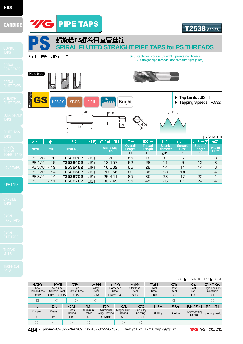





P

▶ Tap Limits : JIS **Ⅱ** ▶ Tapping Speeds : P.532

PS : Straight pipe threads (for pressure-tight joints)

**Hole type**

GS

PS 1/8 - 28 PS 1/4 - 19 PS 3/8 - 19 PS 1/2 - 14 PS 3/4 - 14 PS 1″ - 11

牙距

尺寸

**T2538202 T2538402 T2538482 T2538562 T2538702 T2538782**

型号

**SIZE TPI EDP No. Limit Basic Maj.**

PIPE TAPS

|                            |                                      |                         |                    |                                  |                          |                      |                                  |                      |                      | $\circ$ : 优(Excellent)   | ○: 良(Good)                              |
|----------------------------|--------------------------------------|-------------------------|--------------------|----------------------------------|--------------------------|----------------------|----------------------------------|----------------------|----------------------|--------------------------|-----------------------------------------|
| 低碳钢                        | 中碳钢                                  | 高碳钢                     | 合金钢                |                                  | 硬化钢                      |                      | 不锈钢                              | 工具钢                  | 铸钢                   | 铸铁                       | 高强度铸铁                                   |
| Low<br><b>Carbon Steel</b> | <b>Meduim</b><br><b>Carbon Steel</b> | High<br>Carbon Steel    | Alloy<br>Steel     |                                  | Hardened<br><b>Steel</b> |                      | <b>Stainless</b><br><b>Steel</b> | Tool<br><b>Steel</b> | Cast<br><b>Steel</b> | Cast<br><b>Iron</b>      | <b>High Tension</b><br><b>Cast Iron</b> |
| $\sim$ C <sub>0.25</sub>   | $CO.25 - CO.45$                      | $CO.45 -$               | <b>SCM</b>         |                                  | $HRc25 \sim 45$          |                      | <b>SUS</b>                       | <b>SKD</b>           | <b>SC</b>            | <b>FC</b>                | <b>FCD</b>                              |
| $\circledcirc$             | $\circledcirc$                       |                         | $\circledcirc$     |                                  |                          |                      |                                  |                      | $\circledcirc$       |                          | C                                       |
| 铜                          | 黄铜                                   | 铸铜                      | 铅轧                 | 铸铝                               |                          | 铸镁                   | 铸锌                               | 钛合金                  | 镍合金                  | 热固性塑料                    | 热塑性塑料                                   |
| Copper                     | <b>Brass</b>                         | <b>Brass</b><br>Casting | Aluminum<br>Rolled | Aluminum<br><b>Alloy Casting</b> |                          | Magnesium<br>Casting | <b>Zinc Alloy</b><br>Casting     | <b>Ti Alloy</b>      | Ni Alloy             | Thermosetting<br>plastic | thermoplastic                           |
| Cu                         | <b>Bs</b>                            | PB                      | <b>AL</b>          | AC.ADC                           |                          | <b>MC</b>            | ZDC                              |                      |                      |                          |                                         |
| 0                          |                                      |                         |                    | $(\ )$                           |                          |                      | ∩                                |                      |                      |                          |                                         |

**484 •** phone:+82-32-526-0909, fax:+82-32-526-4373, www.yg1.kr, E-mail:yg1@yg1.kr

 $\downarrow \varnothing$  D<sub>1</sub>  $\downarrow \varnothing$  D<sub>2</sub>

**HSS-EX SP-PS JIS<sup>Ⅱ</sup> 3.0P Bright**

L2

JISⅡ JISⅡ JISⅡ JISⅡ JISⅡ JISⅡ

精度

 $L_1$   $K$   $K$ 

9.728 13.157 16.662 20.955 26.441 33.249

**Dia.** 

最大基准直径

▶ 适用于锥管内部的螺纹加工. <br>● Suitable for process Straight pipe internal threads.

Kl

**Overall Length** L2

全长

**Thread Length** L1

螺纹长

**Shank Diamete Ø**D2

柄径

**Square Size** K

方块尺寸

**Square Length** Kl

方块长度

**No. of Flute**

槽数

单位(Unit) : mm

**螺旋槽PS螺纹用直管丝锥**<br>SPIRAL FLUTED STRAIGHT PIPE TAPS for PS THREADS

**VG** YG-1 CO., LTD.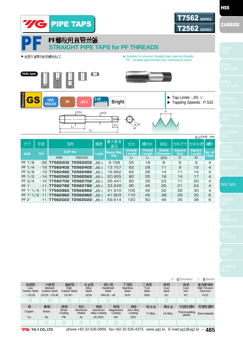

|                            |                               |                         |                    |                                  |                          |                                  |                      |                      | $\circ$ : 优(Excellent)   | ○: 良(Good)                       |
|----------------------------|-------------------------------|-------------------------|--------------------|----------------------------------|--------------------------|----------------------------------|----------------------|----------------------|--------------------------|----------------------------------|
| 低碳钢                        | 中碳钢                           | 高碳钢                     | 合金钢                |                                  | 硬化钢                      | 不锈钢                              | 工具钢                  | 铸钢                   | 铸铁                       | 高强度铸铁                            |
| Low<br><b>Carbon Steel</b> | <b>Meduim</b><br>Carbon Steel | High<br>Carbon Steel    | Alloy<br>Steel     |                                  | Hardened<br><b>Steel</b> | <b>Stainless</b><br><b>Steel</b> | Tool<br><b>Steel</b> | Cast<br><b>Steel</b> | Cast<br><b>Iron</b>      | <b>High Tension</b><br>Cast Iron |
| ~10.25                     | $C0.25 \sim C0.45$            | $C0.45$ ~               | <b>SCM</b>         |                                  | $HRC25 \sim 45$          | <b>SUS</b>                       | <b>SKD</b>           | <b>SC</b>            | <b>FC</b>                | <b>FCD</b>                       |
|                            |                               |                         | C                  |                                  | U                        |                                  |                      |                      |                          | C                                |
| 铜                          | 黄铜                            | 铸铜                      | 铝轧                 | 铸铝                               | 铸镁                       | 铸锌                               | 钛合金                  | 镍合金                  | 热固性塑料                    | 热塑性塑料                            |
| Copper                     | <b>Brass</b>                  | <b>Brass</b><br>Casting | Aluminum<br>Rolled | Aluminum<br><b>Alloy Casting</b> | Magnesium<br>Casting     | <b>Zinc Alloy</b><br>Casting     | <b>Ti Alloy</b>      | Ni Alloy             | Thermosetting<br>plastic | thermoplastic                    |
| Cu                         | <b>Bs</b>                     | <b>PB</b>               | <b>AL</b>          | AC.ADC                           | <b>MC</b>                | <b>ZDC</b>                       |                      |                      |                          |                                  |
|                            |                               |                         |                    |                                  |                          |                                  |                      |                      |                          |                                  |

**VG** YG-1 CO., LTD.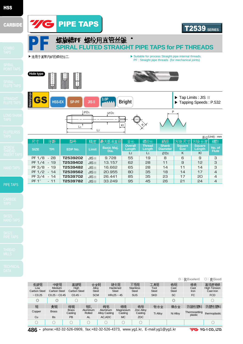

|                          |                        |                         |                    |                                  |                          |                                  |                      |                      | ◎ : 优(Excellent)         | ○: 良(Good)                              |
|--------------------------|------------------------|-------------------------|--------------------|----------------------------------|--------------------------|----------------------------------|----------------------|----------------------|--------------------------|-----------------------------------------|
| 低碳钢                      | 中碳钢                    | 高碳钢                     | 合金钢                |                                  | 硬化钢                      | 不锈钢                              | 工具钢                  | 铸钢                   | 铸铁                       | 高强度铸铁                                   |
| Low<br>Carbon Steel      | Meduim<br>Carbon Steel | High<br>Carbon Steel    | Alloy<br>Steel     |                                  | Hardened<br><b>Steel</b> | <b>Stainless</b><br><b>Steel</b> | Tool<br><b>Steel</b> | Cast<br><b>Steel</b> | Cast<br><b>Iron</b>      | <b>High Tension</b><br><b>Cast Iron</b> |
| $\sim$ C <sub>0.25</sub> | $C0.25$ ~ $C0.45$      | $CO.45 -$               | <b>SCM</b>         |                                  | $HRc25 \sim 45$          | <b>SUS</b>                       | <b>SKD</b>           | <b>SC</b>            | <b>FC</b>                | <b>FCD</b>                              |
| $\circledcirc$           | $\circledcirc$         |                         | $\circledcirc$     |                                  |                          |                                  |                      | $\circledcirc$       |                          |                                         |
| 铜                        | 黄铜                     | 铸铜                      | 铅轧                 | 铸铝                               | 铸镁                       | 铸锌                               | 钛合金                  | 镍合金                  | 热固性塑料                    | 热塑性塑料                                   |
| Copper                   | <b>Brass</b>           | <b>Brass</b><br>Casting | Aluminum<br>Rolled | Aluminum<br><b>Alloy Casting</b> | Magnesium<br>Casting     | <b>Zinc Alloy</b><br>Casting     | <b>Ti Alloy</b>      | Ni Alloy             | Thermosetting<br>plastic | thermoplastic                           |
| Cu                       | <b>Bs</b>              | PB                      | <b>AL</b>          | AC.ADC                           | <b>MC</b>                | ZDC                              |                      |                      |                          |                                         |
|                          | ∩                      |                         | C                  |                                  |                          | 0                                |                      |                      |                          |                                         |

**486 •** phone:+82-32-526-0909, fax:+82-32-526-4373, www.yg1.kr, E-mail:yg1@yg1.kr

**VG** YG-1 CO., LTD.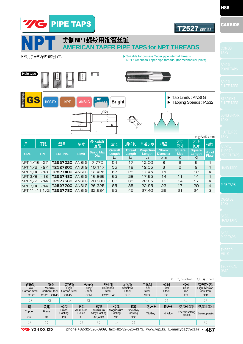

| 尺寸            | 牙距             | 型号:                             | 精度     | 最大基准<br>直径                | 全长                       | 螺纹长              | 基准长度                        | 柄径                       | 方块<br>尺寸                     | 方块<br>长度         | 槽数                     |
|---------------|----------------|---------------------------------|--------|---------------------------|--------------------------|------------------|-----------------------------|--------------------------|------------------------------|------------------|------------------------|
| <b>SIZE</b>   | <b>TPI</b>     | <b>EDP No.</b>                  | Limit  | <b>Basic Maj.</b><br>Dia. | <b>Overall</b><br>Length | Thread<br>Length | <b>Projection</b><br>Length | <b>Shank</b><br>Diameter | <b>Square</b><br><b>Size</b> | Square<br>Length | No. of<br><b>Flute</b> |
|               |                |                                 |        |                           | L <sub>2</sub>           | L <sub>1</sub>   | $\mathsf{L}3$               | ØD2                      | K                            | KI               |                        |
| NPT 1/16 - 27 |                | T2527020                        | ANSI G | 7.770                     | 54                       | 17               | 12.00                       | 8                        | 6                            | 9                | 4                      |
| NPT 1/8 - 27  |                | T2527200                        | ANSI G | 10.117                    | 55                       | 19               | 12.05                       | 8                        | 6                            | 9                | $\overline{4}$         |
|               | NPT 1/4 - 18   | T2527400                        | ANSI G | 13.426                    | 62                       | 28               | 17.45                       | 11                       | 9                            | 12               | $\overline{4}$         |
|               | NPT 3/8 - 18   | T2527480                        | ANSI G | 16,866                    | 65                       | 28               | 17.65                       | 14                       | 11                           | 14               | $\overline{4}$         |
|               | $NPT 1/2 - 14$ | T2527560                        | ANSI G | 20,980                    | 80                       | 35               | 22.85                       | 18                       | 14                           | 17               | 4                      |
|               | NPT 3/4 - 14   | T2527700                        | ANSI G | 26.325                    | 85                       | 35               | 22.95                       | 23                       | 17                           | 20               | $\overline{4}$         |
|               |                | NPT 1" - 11 1/2 <b>T2527780</b> | ANSI G | 32.934                    | 95                       | 45               | 27.40                       | 26                       | 21                           | 24               | 5                      |

PIPE TAPS

**HSS** 

|                            |                        |                         |                    |                                  |                          |                                  |                              |                      |                      | ◎: 优(Excellent)          | ○: 良(Good)                       |
|----------------------------|------------------------|-------------------------|--------------------|----------------------------------|--------------------------|----------------------------------|------------------------------|----------------------|----------------------|--------------------------|----------------------------------|
| 低碳钢                        | 中碳钢                    | 高碳钢                     | 合金钢                |                                  | 硬化钢                      | 不锈钢                              |                              | 工具钢                  | 铸钢                   | 铸铁                       | 高强度铸铁                            |
| Low<br><b>Carbon Steel</b> | Meduim<br>Carbon Steel | High<br>Carbon Steel    | Alloy<br>Steel     |                                  | Hardened<br><b>Steel</b> | <b>Stainless</b><br><b>Steel</b> |                              | Tool<br><b>Steel</b> | Cast<br><b>Steel</b> | Cast<br>Iron             | <b>High Tension</b><br>Čast Iron |
| $\sim$ C <sub>0.25</sub>   | $C0.25 \sim C0.45$     | $CO.45 -$               | <b>SCM</b>         |                                  | $HRc25 \sim 45$          | <b>SUS</b>                       |                              | <b>SKD</b>           | <b>SC</b>            | <b>FC</b>                | <b>FCD</b>                       |
|                            | $\circledcirc$         |                         | $\circledcirc$     |                                  |                          |                                  |                              |                      |                      |                          |                                  |
| 铜                          | 黄铜                     | 铸铜                      | 铝轧                 | 铸铝                               | 铸镁                       |                                  | 铸锌                           | 钛合金                  | 镍合金                  | 热固性塑料                    | 热塑性塑料                            |
| Copper                     | <b>Brass</b>           | <b>Brass</b><br>Casting | Aluminum<br>Rolled | Aluminum<br><b>Alloy Casting</b> | Magnesium<br>Casting     |                                  | <b>Zinc Allov</b><br>Casting | <b>Ti Alloy</b>      | Ni Alloy             | Thermosetting<br>plastic | thermoplastic                    |
| Cu                         | <b>Bs</b>              | PB                      | <b>AL</b>          | AC, ADC                          | MC.                      |                                  | <b>ZDC</b>                   |                      |                      |                          |                                  |
|                            |                        |                         |                    | n                                | О                        |                                  |                              |                      |                      |                          |                                  |

**YG** YG-1 CO., LTD.